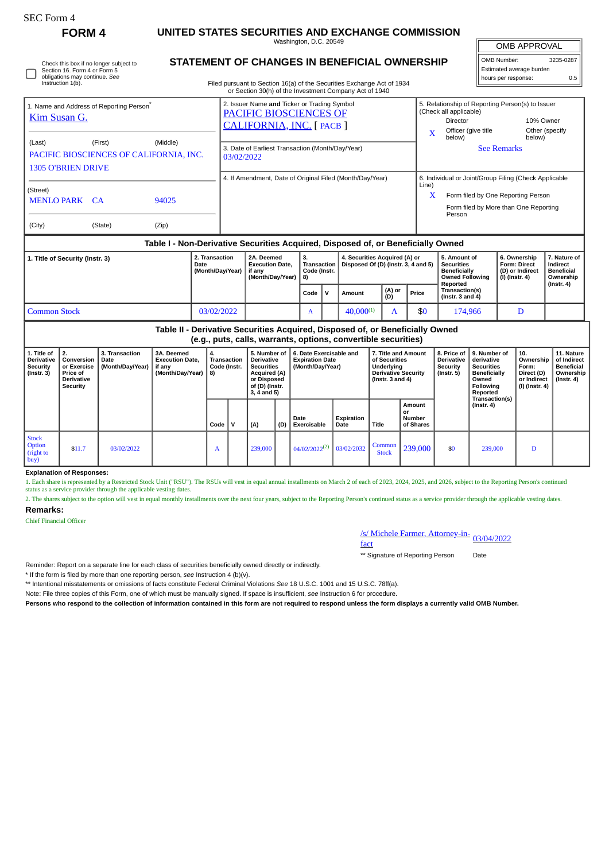| <b>SEC Form 4</b>                                                                                                                                |                                                                              |                                            |                                                                                  |                                                                            |                                                                                                                                                                                                                          |                                                                                                                                                                                  |     |                                         |                                                                       |                                                                      |                                                                                                      |               |                                            |                                                                                                                                                                                             |                                                                                                                 |                                                                                    |                                                                          |                                                                                 |
|--------------------------------------------------------------------------------------------------------------------------------------------------|------------------------------------------------------------------------------|--------------------------------------------|----------------------------------------------------------------------------------|----------------------------------------------------------------------------|--------------------------------------------------------------------------------------------------------------------------------------------------------------------------------------------------------------------------|----------------------------------------------------------------------------------------------------------------------------------------------------------------------------------|-----|-----------------------------------------|-----------------------------------------------------------------------|----------------------------------------------------------------------|------------------------------------------------------------------------------------------------------|---------------|--------------------------------------------|---------------------------------------------------------------------------------------------------------------------------------------------------------------------------------------------|-----------------------------------------------------------------------------------------------------------------|------------------------------------------------------------------------------------|--------------------------------------------------------------------------|---------------------------------------------------------------------------------|
| <b>FORM4</b>                                                                                                                                     |                                                                              |                                            |                                                                                  | UNITED STATES SECURITIES AND EXCHANGE COMMISSION<br>Washington, D.C. 20549 |                                                                                                                                                                                                                          |                                                                                                                                                                                  |     |                                         |                                                                       |                                                                      |                                                                                                      |               |                                            |                                                                                                                                                                                             | <b>OMB APPROVAL</b>                                                                                             |                                                                                    |                                                                          |                                                                                 |
| Check this box if no longer subject to<br>Section 16. Form 4 or Form 5<br>obligations may continue. See<br>Instruction 1(b).                     |                                                                              |                                            |                                                                                  |                                                                            |                                                                                                                                                                                                                          | STATEMENT OF CHANGES IN BENEFICIAL OWNERSHIP<br>Filed pursuant to Section 16(a) of the Securities Exchange Act of 1934<br>or Section 30(h) of the Investment Company Act of 1940 |     |                                         |                                                                       |                                                                      |                                                                                                      |               |                                            |                                                                                                                                                                                             |                                                                                                                 | OMB Number:<br>3235-0287<br>Estimated average burden<br>hours per response:<br>0.5 |                                                                          |                                                                                 |
| 1. Name and Address of Reporting Person <sup>7</sup><br>Kim Susan G.<br>(First)<br>(Middle)<br>(Last)<br>PACIFIC BIOSCIENCES OF CALIFORNIA, INC. |                                                                              |                                            |                                                                                  |                                                                            | 2. Issuer Name and Ticker or Trading Symbol<br>PACIFIC BIOSCIENCES OF<br>CALIFORNIA, INC. [PACB]<br>3. Date of Earliest Transaction (Month/Day/Year)<br>03/02/2022                                                       |                                                                                                                                                                                  |     |                                         |                                                                       |                                                                      |                                                                                                      |               |                                            | 5. Relationship of Reporting Person(s) to Issuer<br>(Check all applicable)<br>Director<br>10% Owner<br>Officer (give title<br>Other (specify<br>X<br>below)<br>below)<br><b>See Remarks</b> |                                                                                                                 |                                                                                    |                                                                          |                                                                                 |
| <b>1305 O'BRIEN DRIVE</b><br>(Street)<br>MENLO PARK CA<br>94025<br>(Zip)<br>(City)<br>(State)                                                    |                                                                              |                                            |                                                                                  |                                                                            | 6. Individual or Joint/Group Filing (Check Applicable<br>4. If Amendment, Date of Original Filed (Month/Day/Year)<br>Line)<br>Form filed by One Reporting Person<br>X<br>Form filed by More than One Reporting<br>Person |                                                                                                                                                                                  |     |                                         |                                                                       |                                                                      |                                                                                                      |               |                                            |                                                                                                                                                                                             |                                                                                                                 |                                                                                    |                                                                          |                                                                                 |
|                                                                                                                                                  |                                                                              |                                            | Table I - Non-Derivative Securities Acquired, Disposed of, or Beneficially Owned |                                                                            |                                                                                                                                                                                                                          |                                                                                                                                                                                  |     |                                         |                                                                       |                                                                      |                                                                                                      |               |                                            |                                                                                                                                                                                             |                                                                                                                 |                                                                                    |                                                                          |                                                                                 |
| 1. Title of Security (Instr. 3)<br>Date                                                                                                          |                                                                              |                                            |                                                                                  | 2. Transaction<br>(Month/Day/Year)                                         |                                                                                                                                                                                                                          | 2A. Deemed<br><b>Execution Date,</b><br>if any<br>(Month/Day/Year)                                                                                                               |     | 3.<br>Transaction<br>Code (Instr.<br>8) |                                                                       | 4. Securities Acquired (A) or<br>Disposed Of (D) (Instr. 3, 4 and 5) |                                                                                                      |               |                                            | 5. Amount of<br><b>Securities</b><br>Beneficially<br><b>Owned Following</b><br>Reported                                                                                                     |                                                                                                                 | (I) (Instr. 4)                                                                     | 6. Ownership<br>Form: Direct<br>(D) or Indirect                          | 7. Nature of<br>Indirect<br><b>Beneficial</b><br>Ownership                      |
|                                                                                                                                                  |                                                                              |                                            |                                                                                  |                                                                            |                                                                                                                                                                                                                          |                                                                                                                                                                                  |     | Code                                    | v                                                                     | <b>Amount</b>                                                        |                                                                                                      | (A) or<br>(D) | Price                                      | Transaction(s)<br>(Instr. $3$ and $4$ )                                                                                                                                                     |                                                                                                                 |                                                                                    |                                                                          | $($ lnstr. 4 $)$                                                                |
| <b>Common Stock</b>                                                                                                                              |                                                                              |                                            |                                                                                  |                                                                            | 03/02/2022                                                                                                                                                                                                               |                                                                                                                                                                                  |     | A                                       |                                                                       | $40.000^{(1)}$<br>A                                                  |                                                                                                      | \$0           | 174,966                                    |                                                                                                                                                                                             | D                                                                                                               |                                                                                    |                                                                          |                                                                                 |
| Table II - Derivative Securities Acquired, Disposed of, or Beneficially Owned<br>(e.g., puts, calls, warrants, options, convertible securities)  |                                                                              |                                            |                                                                                  |                                                                            |                                                                                                                                                                                                                          |                                                                                                                                                                                  |     |                                         |                                                                       |                                                                      |                                                                                                      |               |                                            |                                                                                                                                                                                             |                                                                                                                 |                                                                                    |                                                                          |                                                                                 |
| 1. Title of<br><b>Derivative</b><br>Security<br>$($ Instr. 3 $)$                                                                                 | 2.<br>Conversion<br>or Exercise<br>Price of<br>Derivative<br><b>Security</b> | 3. Transaction<br>Date<br>(Month/Day/Year) | 3A. Deemed<br><b>Execution Date.</b><br>if any<br>(Month/Day/Year)               | 4.<br><b>Transaction</b><br>Code (Instr.<br>8)                             |                                                                                                                                                                                                                          | 5. Number of<br><b>Derivative</b><br><b>Securities</b><br><b>Acquired (A)</b><br>or Disposed<br>of (D) (Instr.<br>3, 4 and 5)                                                    |     |                                         | 6. Date Exercisable and<br><b>Expiration Date</b><br>(Month/Day/Year) |                                                                      | 7. Title and Amount<br>of Securities<br>Underlying<br><b>Derivative Security</b><br>(Instr. 3 and 4) |               |                                            | 8. Price of<br><b>Derivative</b><br>Security<br>$($ Instr. 5 $)$                                                                                                                            | 9. Number of<br>derivative<br><b>Securities</b><br><b>Beneficially</b><br>Owned<br><b>Following</b><br>Reported | Transaction(s)                                                                     | 10.<br>Ownership<br>Form:<br>Direct (D)<br>or Indirect<br>(I) (Instr. 4) | 11. Nature<br>of Indirect<br><b>Beneficial</b><br>Ownership<br>$($ lnstr. 4 $)$ |
|                                                                                                                                                  |                                                                              |                                            |                                                                                  | Code                                                                       | v                                                                                                                                                                                                                        | (A)                                                                                                                                                                              | (D) | Date<br>Exercisable                     |                                                                       | Expiration<br>Date                                                   | Title                                                                                                |               | Amount<br>or<br><b>Number</b><br>of Shares |                                                                                                                                                                                             | $($ Instr. 4 $)$                                                                                                |                                                                                    |                                                                          |                                                                                 |
| <b>Stock</b><br>Option<br>(right to<br>buy)                                                                                                      | \$11.7                                                                       | 03/02/2022                                 |                                                                                  | A                                                                          |                                                                                                                                                                                                                          | 239,000                                                                                                                                                                          |     | $04/02/2022^{(2)}$                      |                                                                       | 03/02/2032                                                           | Common<br><b>Stock</b>                                                                               |               | 239,000                                    | \$0                                                                                                                                                                                         | 239,000                                                                                                         |                                                                                    | D                                                                        |                                                                                 |

## **Explanation of Responses:**

1. Each share is represented by a Restricted Stock Unit ("RSU"). The RSUs will vest in equal annual installments on March 2 of each of 2023, 2024, 2025, and 2026, subject to the Reporting Person's continued status as a service provider through the applicable vesting dates.

2. The shares subject to the option will vest in equal monthly installments over the next four years, subject to the Reporting Person's continued status as a service provider through the applicable vesting dates. **Remarks:**

## Chief Financial Officer

## /s/ Michele Farmer, Attorney-in-<br>fact

\*\* Signature of Reporting Person Date

Reminder: Report on a separate line for each class of securities beneficially owned directly or indirectly.

\* If the form is filed by more than one reporting person, *see* Instruction 4 (b)(v).

\*\* Intentional misstatements or omissions of facts constitute Federal Criminal Violations *See* 18 U.S.C. 1001 and 15 U.S.C. 78ff(a).

Note: File three copies of this Form, one of which must be manually signed. If space is insufficient, *see* Instruction 6 for procedure.

**Persons who respond to the collection of information contained in this form are not required to respond unless the form displays a currently valid OMB Number.**